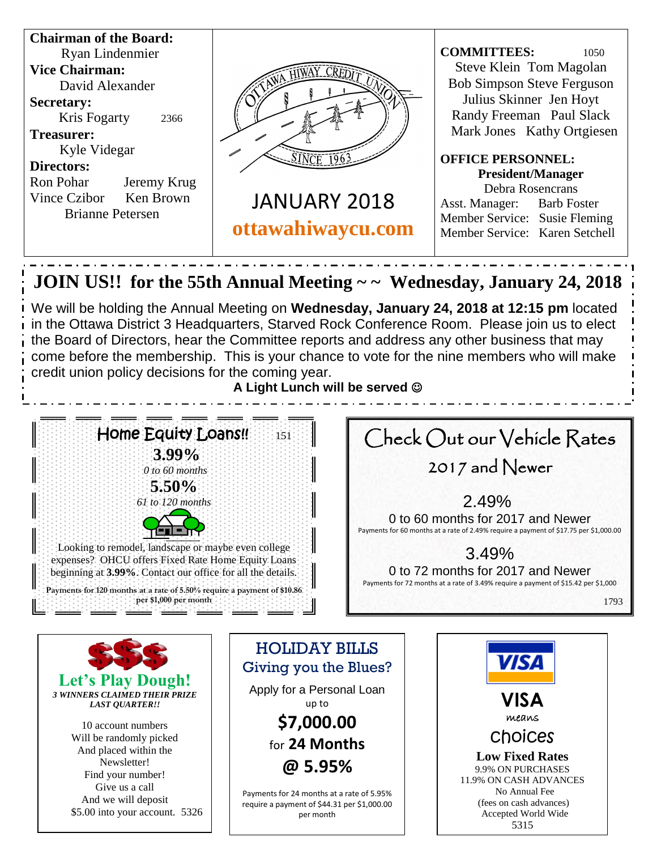

And we will deposit \$5.00 into your account. 5326

Payments for 24 months at a rate of 5.95% require a payment of \$44.31 per \$1,000.00 per month

(fees on cash advances) Accepted World Wide 5315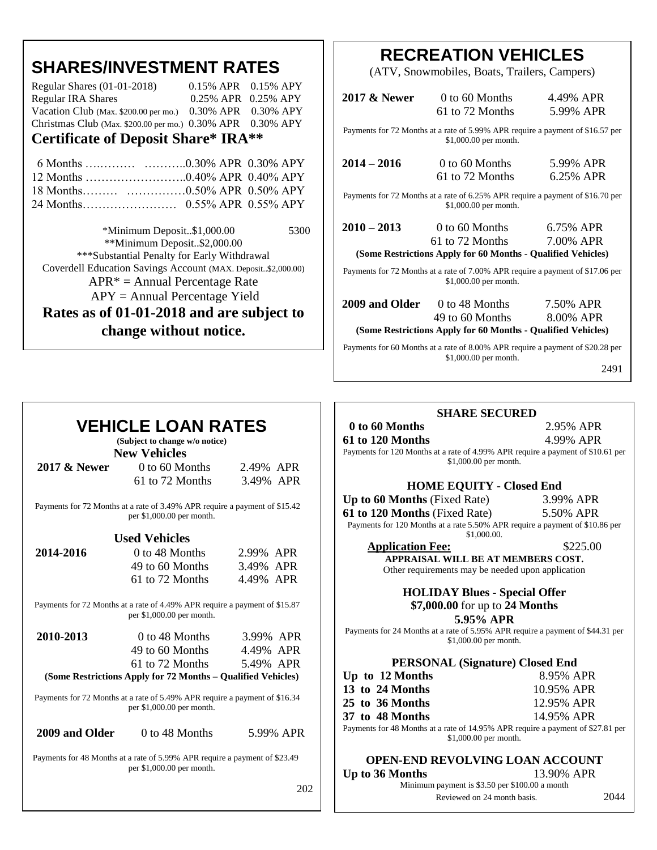|  |  | <b>SHARES/INVESTMENT RATES</b> |
|--|--|--------------------------------|
|--|--|--------------------------------|

| Christmas Club (Max. \$200.00 per mo.) $0.30\%$ APR $0.30\%$ APY |                           |  |
|------------------------------------------------------------------|---------------------------|--|
| Vacation Club (Max. \$200.00 per mo.) $0.30\%$ APR $0.30\%$ APY  |                           |  |
| <b>Regular IRA Shares</b>                                        | 0.25% APR 0.25% APY       |  |
| Regular Shares $(01-01-2018)$                                    | $0.15\%$ APR $0.15\%$ APY |  |

### **Certificate of Deposit Share\* IRA\*\***

 \*Minimum Deposit..\$1,000.00 5300 \*\*Minimum Deposit..\$2,000.00 \*\*\*Substantial Penalty for Early Withdrawal Coverdell Education Savings Account (MAX. Deposit..\$2,000.00)  $APR^* = Annual Percentage Rate$ APY = Annual Percentage Yield **Rates as of 01-01-2018 and are subject to** 

**change without notice.** 

## **RECREATION VEHICLES**

(ATV, Snowmobiles, Boats, Trailers, Campers)

| 2017 & Newer                                                                                            | $0$ to 60 Months<br>61 to 72 Months  | 4.49% APR<br>5.99% APR |  |
|---------------------------------------------------------------------------------------------------------|--------------------------------------|------------------------|--|
| Payments for 72 Months at a rate of 5.99% APR require a payment of \$16.57 per<br>\$1,000.00 per month. |                                      |                        |  |
| $2014 - 2016$                                                                                           | $0$ to 60 Months<br>61 to 72 Months  | 5.99% APR<br>6.25% APR |  |
| Payments for 72 Months at a rate of 6.25% APR require a payment of \$16.70 per<br>\$1,000.00 per month. |                                      |                        |  |
| $2010 - 2013$                                                                                           | 0 to 60 Months $6.75\%$ APR          |                        |  |
|                                                                                                         | 61 to 72 Months 7.00% APR            |                        |  |
| (Some Restrictions Apply for 60 Months - Qualified Vehicles)                                            |                                      |                        |  |
| Payments for 72 Months at a rate of 7.00% APR require a payment of \$17.06 per<br>\$1,000.00 per month. |                                      |                        |  |
|                                                                                                         | <b>2009 and Older</b> 0 to 48 Months | 7.50% APR              |  |
|                                                                                                         | 49 to 60 Months                      | 8.00% APR              |  |
| (Some Restrictions Apply for 60 Months - Qualified Vehicles)                                            |                                      |                        |  |
| Payments for 60 Months at a rate of 8.00% APR require a payment of \$20.28 per<br>\$1,000.00 per month. |                                      |                        |  |

2491

## **VEHICLE LOAN RATES**

**(Subject to change w/o notice)**

| 2017 & Newer | $\theta$ to 60 Months | 2.49% APR |
|--------------|-----------------------|-----------|
|              | 61 to 72 Months       | 3.49% APR |

 Payments for 72 Months at a rate of 3.49% APR require a payment of \$15.42 per \$1,000.00 per month.

#### **Used Vehicles**

| 2014-2016 | 0 to 48 Months                                                                                           | 2.99% APR |  |
|-----------|----------------------------------------------------------------------------------------------------------|-----------|--|
|           | 49 to 60 Months                                                                                          | 3.49% APR |  |
|           | 61 to 72 Months                                                                                          | 4.49% APR |  |
|           | Payments for 72 Months at a rate of 4.49% APR require a payment of \$15.87<br>per $$1,000.00$ per month. |           |  |
| 2010-2013 | 0 to 48 Months                                                                                           | 3.99% APR |  |
|           |                                                                                                          |           |  |

| (Some Restrictions Apply for 72 Months – Qualified Vehicles) |           |  |
|--------------------------------------------------------------|-----------|--|
| 61 to 72 Months                                              | 5.49% APR |  |
| 49 to 60 Months                                              | 4.49% APR |  |

 Payments for 72 Months at a rate of 5.49% APR require a payment of \$16.34 per \$1,000.00 per month.

|  | 2009 and Older |
|--|----------------|
|  |                |

0 to 48 Months 5.99% APR

Payments for 48 Months at a rate of 5.99% APR require a payment of \$23.49 per \$1,000.00 per month.

202

#### **SHARE SECURED**

| 0 to 60 Months                                                                  | 2.95% APR |  |
|---------------------------------------------------------------------------------|-----------|--|
| 61 to 120 Months                                                                | 4.99% APR |  |
| Payments for 120 Months at a rate of 4.99% APR require a payment of \$10.61 per |           |  |
| $$1,000.00$ per month.                                                          |           |  |

#### **HOME EQUITY - Closed End**

**Up to 60 Months** (Fixed Rate) 3.99% APR **61 to 120 Months** (Fixed Rate) 5.50% APR Payments for 120 Months at a rate 5.50% APR require a payment of \$10.86 per \$1,000.00.

**Application Fee:** \$225.00 **APPRAISAL WILL BE AT MEMBERS COST.** Other requirements may be needed upon application

### **HOLIDAY Blues - Special Offer \$7,000.00** for up to **24 Months**

**5.95% APR**

Payments for 24 Months at a rate of 5.95% APR require a payment of \$44.31 per \$1,000.00 per month.

### **PERSONAL (Signature) Closed End**

| Up to 12 Months                                                          | 8.95% APR  |
|--------------------------------------------------------------------------|------------|
| 13 to 24 Months                                                          | 10.95% APR |
| 25 to 36 Months                                                          | 12.95% APR |
| 37 to 48 Months                                                          | 14.95% APR |
| Payments for 48 Months at a rate of 14.95% APR require a payment of \$27 |            |

APR require a payment of \$27.81 per \$1,000.00 per month.

### **OPEN-END REVOLVING LOAN ACCOUNT**

**Up to 36 Months** 13.90% APR

Minimum payment is \$3.50 per \$100.00 a month Reviewed on 24 month basis. 2044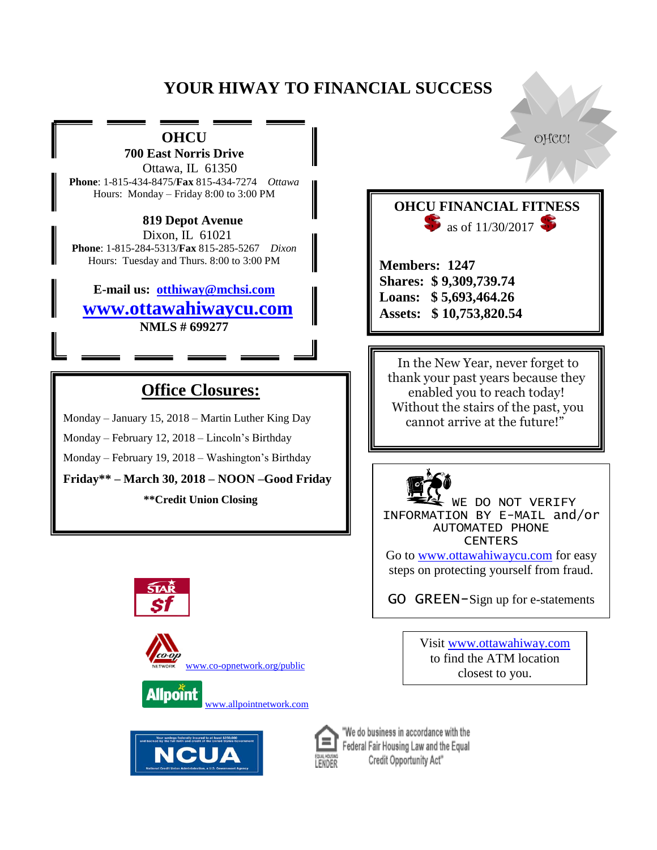# **YOUR HIWAY TO FINANCIAL SUCCESS**

# **OHCU** and  $\bullet$  of  $\circ$

**700 East Norris Drive** Ottawa, IL 61350 **Phone**: 1-815-434-8475/**Fax** 815-434-7274 *Ottawa* Hours: Monday – Friday 8:00 to 3:00 PM

 **819 Depot Avenue**  Dixon, IL 61021 **Phone**: 1-815-284-5313/**Fax** 815-285-5267 *Dixon* Hours: Tuesday and Thurs. 8:00 to 3:00 PM

**E-mail us: [otthiway@mchsi.com](mailto:otthiway@mchsi.com)  [www.ottawahiwaycu.com](http://www.ottawahiwaycu.com/) NMLS # 699277**

## **Office Closures:**

Monday – January 15, 2018 – Martin Luther King Day

Monday – February 12, 2018 – Lincoln's Birthday

Monday – February 19, 2018 – Washington's Birthday

**Friday\*\* – March 30, 2018 – NOON –Good Friday**

**\*\*Credit Union Closing**











"We do business in accordance with the Federal Fair Housing Law and the Equal Credit Opportunity Act"

**Members: 1247 Shares: \$ 9,309,739.74 Loans: \$ 5,693,464.26 Assets: \$ 10,753,820.54**

**OHCU FINANCIAL FITNESS** 

as of  $11/30/2017$ 

 In the New Year, never forget to thank your past years because they enabled you to reach today! Without the stairs of the past, you cannot arrive at the future!"



WE DO NOT VERIFY INFORMATION BY E-MAIL and/or AUTOMATED PHONE **CENTERS** 

Go to [www.ottawahiwaycu.com](http://www.ottawahiwaycu.com/) for easy steps on protecting yourself from fraud.

GO GREEN-Sign up for e-statements

Visit [www.ottawahiway.com](http://www.ottawahiway.com/) to find the ATM location closest to you.